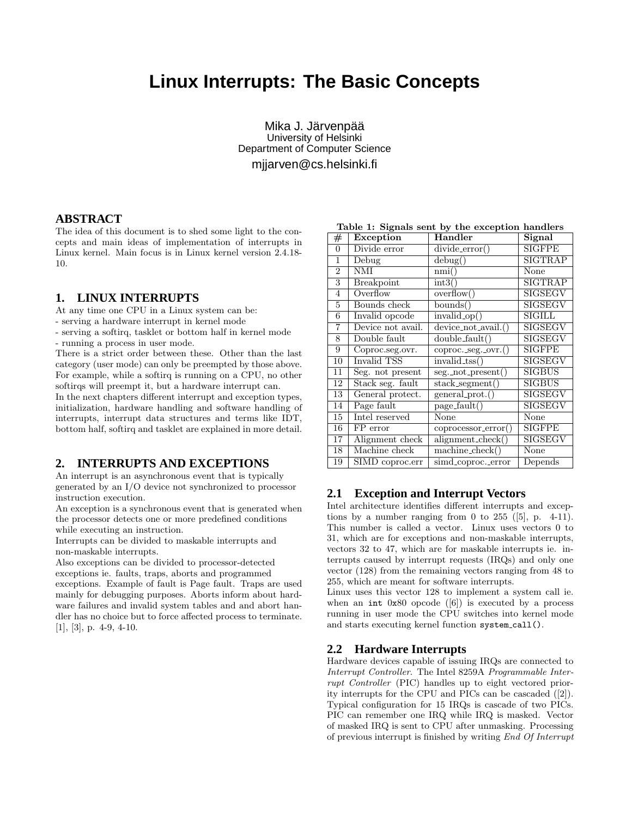# **Linux Interrupts: The Basic Concepts**

Mika J. Järvenpää University of Helsinki Department of Computer Science mjjarven@cs.helsinki.fi

#### **ABSTRACT**

The idea of this document is to shed some light to the concepts and main ideas of implementation of interrupts in Linux kernel. Main focus is in Linux kernel version 2.4.18- 10.

## **1. LINUX INTERRUPTS**

At any time one CPU in a Linux system can be:

- serving a hardware interrupt in kernel mode
- serving a softirq, tasklet or bottom half in kernel mode - running a process in user mode.
- 

There is a strict order between these. Other than the last category (user mode) can only be preempted by those above. For example, while a softirq is running on a CPU, no other softirqs will preempt it, but a hardware interrupt can.

In the next chapters different interrupt and exception types, initialization, hardware handling and software handling of interrupts, interrupt data structures and terms like IDT, bottom half, softirq and tasklet are explained in more detail.

## **2. INTERRUPTS AND EXCEPTIONS**

An interrupt is an asynchronous event that is typically generated by an I/O device not synchronized to processor instruction execution.

An exception is a synchronous event that is generated when the processor detects one or more predefined conditions while executing an instruction.

Interrupts can be divided to maskable interrupts and non-maskable interrupts.

Also exceptions can be divided to processor-detected exceptions ie. faults, traps, aborts and programmed exceptions. Example of fault is Page fault. Traps are used mainly for debugging purposes. Aborts inform about hardware failures and invalid system tables and and abort handler has no choice but to force affected process to terminate.  $[1]$ ,  $[3]$ , p. 4-9, 4-10.

| rable 1: Signals sent by the exception handlers |                         |                         |                |  |
|-------------------------------------------------|-------------------------|-------------------------|----------------|--|
| $^{\#}$                                         | Exception               | Handler                 | Signal         |  |
| $\overline{0}$                                  | Divide error            | $divide_error()$        | <b>SIGFPE</b>  |  |
| 1                                               | Debug                   | debug()                 | <b>SIGTRAP</b> |  |
| $\overline{2}$                                  | $\overline{\text{NMI}}$ | nmi()                   | None           |  |
| 3                                               | <b>Breakpoint</b>       | $\text{int3}()$         | <b>SIGTRAP</b> |  |
| $\overline{4}$                                  | Overflow                | overflow()              | <b>SIGSEGV</b> |  |
| $\overline{5}$                                  | Bounds check            | bounds()                | <b>SIGSEGV</b> |  |
| 6                                               | Invalid opcode          | $invalid_op()$          | <b>SIGILL</b>  |  |
| $\overline{7}$                                  | Device not avail.       | $device\_not\_avail.()$ | <b>SIGSEGV</b> |  |
| 8                                               | Double fault            | double_fault()          | SIGSEGV        |  |
| 9                                               | Coproc.seg.ovr.         | coproc._seg._ovr.()     | <b>SIGFPE</b>  |  |
| 10                                              | Invalid TSS             | $invalid_tss()$         | <b>SIGSEGV</b> |  |
| 11                                              | Seg. not present        | seg._not_present()      | <b>SIGBUS</b>  |  |
| 12                                              | Stack seg. fault        | stack_segment()         | <b>SIGBUS</b>  |  |
| 13                                              | General protect.        | general_prot.()         | <b>SIGSEGV</b> |  |
| 14                                              | Page fault              | page_fault()            | <b>SIGSEGV</b> |  |
| 15                                              | Intel reserved          | None                    | None           |  |
| 16                                              | FP error                | coprocessor_error()     | SIGFPE         |  |
| 17                                              | Alignment check         | $alignment\_check()$    | <b>SIGSEGV</b> |  |
| 18                                              | Machine check           | machine_check()         | None           |  |
| 19                                              | SIMD coproc.err         | simd_coproc._error      | Depends        |  |

#### Table 1: Signals sent by the exception handlers

# **2.1 Exception and Interrupt Vectors**

Intel architecture identifies different interrupts and exceptions by a number ranging from 0 to 255 ( $[5]$ , p. 4-11). This number is called a vector. Linux uses vectors 0 to 31, which are for exceptions and non-maskable interrupts, vectors 32 to 47, which are for maskable interrupts ie. interrupts caused by interrupt requests (IRQs) and only one vector (128) from the remaining vectors ranging from 48 to 255, which are meant for software interrupts.

Linux uses this vector 128 to implement a system call ie. when an int  $0x80$  opcode ([6]) is executed by a process running in user mode the CPU switches into kernel mode and starts executing kernel function system call().

## **2.2 Hardware Interrupts**

Hardware devices capable of issuing IRQs are connected to Interrupt Controller. The Intel 8259A Programmable Interrupt Controller (PIC) handles up to eight vectored priority interrupts for the CPU and PICs can be cascaded ([2]). Typical configuration for 15 IRQs is cascade of two PICs. PIC can remember one IRQ while IRQ is masked. Vector of masked IRQ is sent to CPU after unmasking. Processing of previous interrupt is finished by writing End Of Interrupt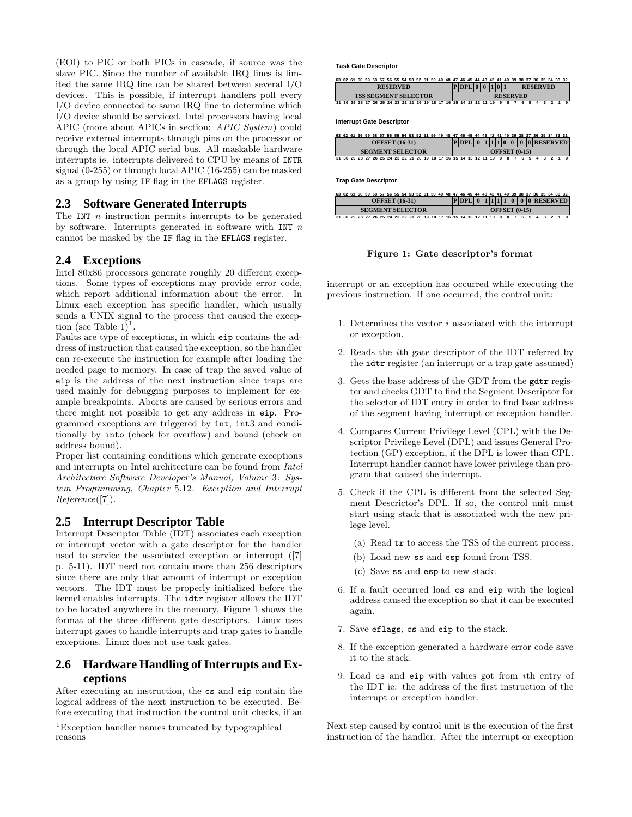(EOI) to PIC or both PICs in cascade, if source was the slave PIC. Since the number of available IRQ lines is limited the same IRQ line can be shared between several I/O devices. This is possible, if interrupt handlers poll every I/O device connected to same IRQ line to determine which I/O device should be serviced. Intel processors having local APIC (more about APICs in section: APIC System) could receive external interrupts through pins on the processor or through the local APIC serial bus. All maskable hardware interrupts ie. interrupts delivered to CPU by means of INTR signal (0-255) or through local APIC (16-255) can be masked as a group by using IF flag in the EFLAGS register.

#### **2.3 Software Generated Interrupts**

The INT  $n$  instruction permits interrupts to be generated by software. Interrupts generated in software with INT  $n$ cannot be masked by the IF flag in the EFLAGS register.

## **2.4 Exceptions**

Intel 80x86 processors generate roughly 20 different exceptions. Some types of exceptions may provide error code, which report additional information about the error. In Linux each exception has specific handler, which usually sends a UNIX signal to the process that caused the exception (see Table  $1)^{1}$ .

Faults are type of exceptions, in which eip contains the address of instruction that caused the exception, so the handler can re-execute the instruction for example after loading the needed page to memory. In case of trap the saved value of eip is the address of the next instruction since traps are used mainly for debugging purposes to implement for example breakpoints. Aborts are caused by serious errors and there might not possible to get any address in eip. Programmed exceptions are triggered by int, int3 and conditionally by into (check for overflow) and bound (check on address bound).

Proper list containing conditions which generate exceptions and interrupts on Intel architecture can be found from Intel Architecture Software Developer's Manual, Volume 3: System Programming, Chapter 5.12. Exception and Interrupt Reference([7]).

## **2.5 Interrupt Descriptor Table**

Interrupt Descriptor Table (IDT) associates each exception or interrupt vector with a gate descriptor for the handler used to service the associated exception or interrupt ([7] p. 5-11). IDT need not contain more than 256 descriptors since there are only that amount of interrupt or exception vectors. The IDT must be properly initialized before the kernel enables interrupts. The idtr register allows the IDT to be located anywhere in the memory. Figure 1 shows the format of the three different gate descriptors. Linux uses interrupt gates to handle interrupts and trap gates to handle exceptions. Linux does not use task gates.

# **2.6 Hardware Handling of Interrupts and Exceptions**

After executing an instruction, the cs and eip contain the logical address of the next instruction to be executed. Before executing that instruction the control unit checks, if an **Task Gate Descriptor**

| 63 62 61 60 59 58 57 56 55 54 53 52 51 50 49 48 47 46 45 44 43 42 41 40 39 38 37 36 35 34 33 32 |                                       |  |  |  |
|-------------------------------------------------------------------------------------------------|---------------------------------------|--|--|--|
| <b>RESERVED</b>                                                                                 | P DPL 0  0  1 0 1 <br><b>RESERVED</b> |  |  |  |
| <b>TSS SEGMENT SELECTOR</b>                                                                     | <b>RESERVED</b>                       |  |  |  |
| 31 30 29 28 27 26 25 24 23 22 21 20 19 18 17 16 15 14 13 12 11 10 9 8 7 6 5 4 3 2 1 0           |                                       |  |  |  |

**Interrupt Gate Descriptor**

|                         | 63 62 61 60 59 58 57 56 55 54 53 52 51 50 49 48 47 46 45 44 43 42 41 40 39 38 37 36 35 34 33 32 |
|-------------------------|-------------------------------------------------------------------------------------------------|
| <b>OFFSET</b> (16-31)   | $ P DPL $ 0 $ 1 1 1 0 0 0 0 RESERVED$                                                           |
|                         |                                                                                                 |
| <b>SEGMENT SELECTOR</b> | <b>OFFSET</b> (0-15)                                                                            |

**Trap Gate Descriptor**

|                                                                     | 63 62 61 60 59 58 57 56 55 54 53 52 51 50 49 48 47 46 45 44 43 42 41 40 39 38 37 36 35 34 33 32 |  |  |  |
|---------------------------------------------------------------------|-------------------------------------------------------------------------------------------------|--|--|--|
| <b>OFFSET</b> (16-31)                                               | $ P DPL $ 0 1 1 1 1 0 0 0 RESERVED                                                              |  |  |  |
| <b>SEGMENT SELECTOR</b>                                             | <b>OFFSET</b> (0-15)                                                                            |  |  |  |
| 31 30 29 28 27 26 25 24 23 22 21 20 19 18 17 16 15 14 13 12 11 10 9 |                                                                                                 |  |  |  |

Figure 1: Gate descriptor's format

interrupt or an exception has occurred while executing the previous instruction. If one occurred, the control unit:

- 1. Determines the vector  $i$  associated with the interrupt or exception.
- 2. Reads the ith gate descriptor of the IDT referred by the idtr register (an interrupt or a trap gate assumed)
- 3. Gets the base address of the GDT from the gdtr register and checks GDT to find the Segment Descriptor for the selector of IDT entry in order to find base address of the segment having interrupt or exception handler.
- 4. Compares Current Privilege Level (CPL) with the Descriptor Privilege Level (DPL) and issues General Protection (GP) exception, if the DPL is lower than CPL. Interrupt handler cannot have lower privilege than program that caused the interrupt.
- 5. Check if the CPL is different from the selected Segment Descrictor's DPL. If so, the control unit must start using stack that is associated with the new prilege level.
	- (a) Read tr to access the TSS of the current process.
	- (b) Load new ss and esp found from TSS.
	- (c) Save ss and esp to new stack.
- 6. If a fault occurred load cs and eip with the logical address caused the exception so that it can be executed again.
- 7. Save eflags, cs and eip to the stack.
- 8. If the exception generated a hardware error code save it to the stack.
- 9. Load cs and eip with values got from ith entry of the IDT ie. the address of the first instruction of the interrupt or exception handler.

Next step caused by control unit is the execution of the first instruction of the handler. After the interrupt or exception

<sup>1</sup>Exception handler names truncated by typographical reasons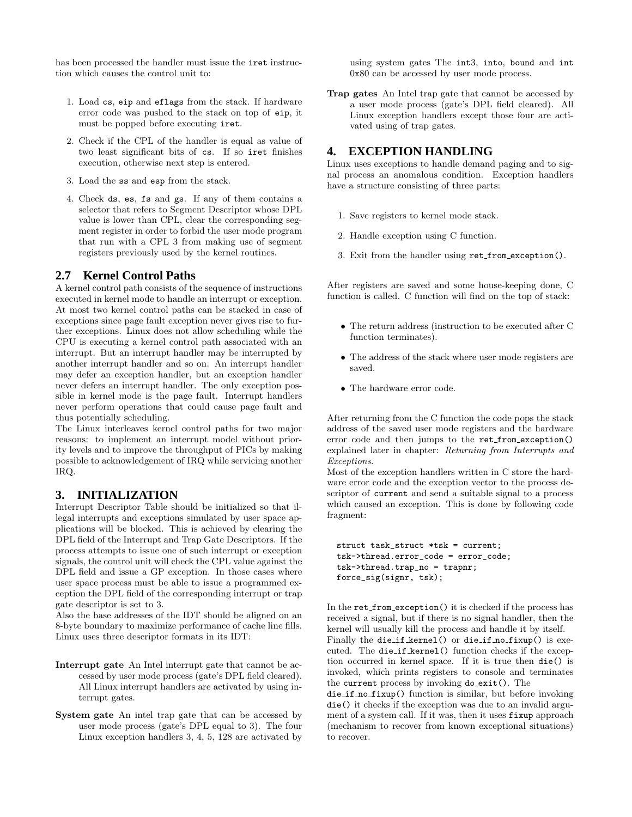has been processed the handler must issue the iret instruction which causes the control unit to:

- 1. Load cs, eip and eflags from the stack. If hardware error code was pushed to the stack on top of eip, it must be popped before executing iret.
- 2. Check if the CPL of the handler is equal as value of two least significant bits of cs. If so iret finishes execution, otherwise next step is entered.
- 3. Load the ss and esp from the stack.
- 4. Check ds, es, fs and gs. If any of them contains a selector that refers to Segment Descriptor whose DPL value is lower than CPL, clear the corresponding segment register in order to forbid the user mode program that run with a CPL 3 from making use of segment registers previously used by the kernel routines.

## **2.7 Kernel Control Paths**

A kernel control path consists of the sequence of instructions executed in kernel mode to handle an interrupt or exception. At most two kernel control paths can be stacked in case of exceptions since page fault exception never gives rise to further exceptions. Linux does not allow scheduling while the CPU is executing a kernel control path associated with an interrupt. But an interrupt handler may be interrupted by another interrupt handler and so on. An interrupt handler may defer an exception handler, but an exception handler never defers an interrupt handler. The only exception possible in kernel mode is the page fault. Interrupt handlers never perform operations that could cause page fault and thus potentially scheduling.

The Linux interleaves kernel control paths for two major reasons: to implement an interrupt model without priority levels and to improve the throughput of PICs by making possible to acknowledgement of IRQ while servicing another IRQ.

## **3. INITIALIZATION**

Interrupt Descriptor Table should be initialized so that illegal interrupts and exceptions simulated by user space applications will be blocked. This is achieved by clearing the DPL field of the Interrupt and Trap Gate Descriptors. If the process attempts to issue one of such interrupt or exception signals, the control unit will check the CPL value against the DPL field and issue a GP exception. In those cases where user space process must be able to issue a programmed exception the DPL field of the corresponding interrupt or trap gate descriptor is set to 3.

Also the base addresses of the IDT should be aligned on an 8-byte boundary to maximize performance of cache line fills. Linux uses three descriptor formats in its IDT:

- Interrupt gate An Intel interrupt gate that cannot be accessed by user mode process (gate's DPL field cleared). All Linux interrupt handlers are activated by using interrupt gates.
- System gate An intel trap gate that can be accessed by user mode process (gate's DPL equal to 3). The four Linux exception handlers 3, 4, 5, 128 are activated by

using system gates The int3, into, bound and int 0x80 can be accessed by user mode process.

Trap gates An Intel trap gate that cannot be accessed by a user mode process (gate's DPL field cleared). All Linux exception handlers except those four are activated using of trap gates.

## **4. EXCEPTION HANDLING**

Linux uses exceptions to handle demand paging and to signal process an anomalous condition. Exception handlers have a structure consisting of three parts:

- 1. Save registers to kernel mode stack.
- 2. Handle exception using C function.
- 3. Exit from the handler using ret from exception().

After registers are saved and some house-keeping done, C function is called. C function will find on the top of stack:

- The return address (instruction to be executed after C function terminates).
- The address of the stack where user mode registers are saved.
- The hardware error code.

After returning from the C function the code pops the stack address of the saved user mode registers and the hardware error code and then jumps to the ret from exception() explained later in chapter: Returning from Interrupts and Exceptions.

Most of the exception handlers written in C store the hardware error code and the exception vector to the process descriptor of current and send a suitable signal to a process which caused an exception. This is done by following code fragment:

```
struct task_struct *tsk = current;
tsk->thread.error_code = error_code;
tsk->thread.trap_no = trapnr;
force_sig(signr, tsk);
```
In the ret from exception() it is checked if the process has received a signal, but if there is no signal handler, then the kernel will usually kill the process and handle it by itself. Finally the die\_if\_kernel() or die\_if\_no\_fixup() is executed. The die if kernel() function checks if the exception occurred in kernel space. If it is true then die() is invoked, which prints registers to console and terminates the current process by invoking do exit(). The

die if no fixup() function is similar, but before invoking die() it checks if the exception was due to an invalid argument of a system call. If it was, then it uses fixup approach (mechanism to recover from known exceptional situations) to recover.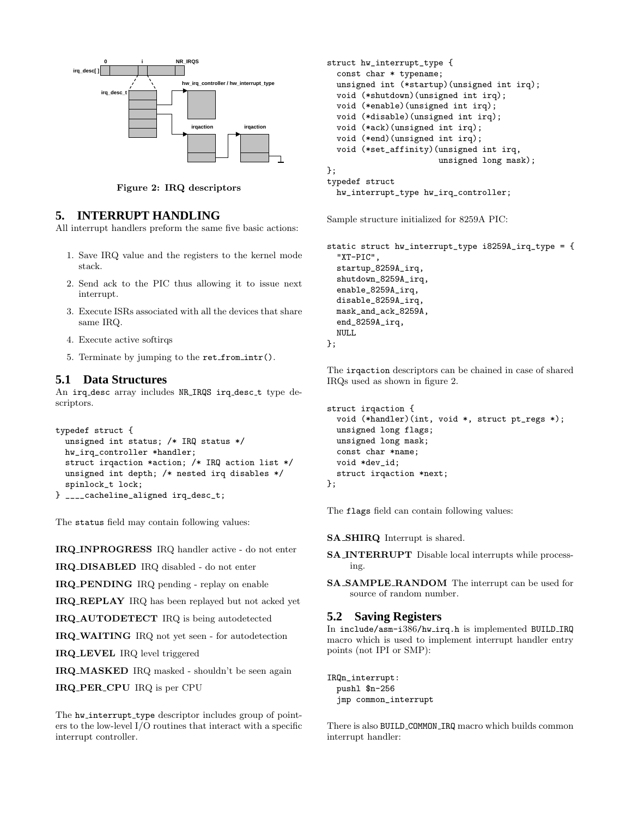

Figure 2: IRQ descriptors

# **5. INTERRUPT HANDLING**

All interrupt handlers preform the same five basic actions:

- 1. Save IRQ value and the registers to the kernel mode stack.
- 2. Send ack to the PIC thus allowing it to issue next interrupt.
- 3. Execute ISRs associated with all the devices that share same IRQ.
- 4. Execute active softirqs
- 5. Terminate by jumping to the ret from intr().

# **5.1 Data Structures**

An irq desc array includes NR IRQS irq desc t type descriptors.

```
typedef struct {
  unsigned int status; /* IRQ status */
 hw_irq_controller *handler;
 struct irqaction *action; /* IRQ action list */
 unsigned int depth; /* nested irq disables */
 spinlock_t lock;
} ____cacheline_aligned irq_desc_t;
```
The status field may contain following values:

IRQ INPROGRESS IRQ handler active - do not enter

IRQ DISABLED IRQ disabled - do not enter

IRQ PENDING IRQ pending - replay on enable

IRQ REPLAY IRQ has been replayed but not acked yet

IRQ AUTODETECT IRQ is being autodetected

IRQ WAITING IRQ not yet seen - for autodetection

IRQ LEVEL IRQ level triggered

IRQ MASKED IRQ masked - shouldn't be seen again

IRQ PER CPU IRQ is per CPU

The hw\_interrupt\_type descriptor includes group of pointers to the low-level I/O routines that interact with a specific interrupt controller.

```
struct hw_interrupt_type {
  const char * typename;
  unsigned int (*startup)(unsigned int irq);
  void (*shutdown)(unsigned int irq);
  void (*enable)(unsigned int irq);
  void (*disable)(unsigned int irq);
  void (*ack)(unsigned int irq);
  void (*end)(unsigned int irq);
  void (*set_affinity)(unsigned int irq,
                       unsigned long mask);
};
typedef struct
 hw_interrupt_type hw_irq_controller;
```
Sample structure initialized for 8259A PIC:

```
static struct hw_interrupt_type i8259A_irq_type = {
  "XT-PIC",
  startup_8259A_irq,
  shutdown_8259A_irq,
  enable_8259A_irq,
  disable_8259A_irq,
  mask_and_ack_8259A,
  end_8259A_irq,
  NULL
};
```
The irqaction descriptors can be chained in case of shared IRQs used as shown in figure 2.

```
struct irqaction {
  void (*handler)(int, void *, struct pt_regs *);
  unsigned long flags;
 unsigned long mask;
  const char *name;
  void *dev_id;
  struct irqaction *next;
};
```
The flags field can contain following values:

SA SHIRQ Interrupt is shared.

- SA INTERRUPT Disable local interrupts while processing.
- SA SAMPLE RANDOM The interrupt can be used for source of random number.

#### **5.2 Saving Registers**

In include/asm-i386/hw irq.h is implemented BUILD IRQ macro which is used to implement interrupt handler entry points (not IPI or SMP):

IRQn\_interrupt: pushl \$n-256 jmp common\_interrupt

There is also BUILD COMMON IRQ macro which builds common interrupt handler: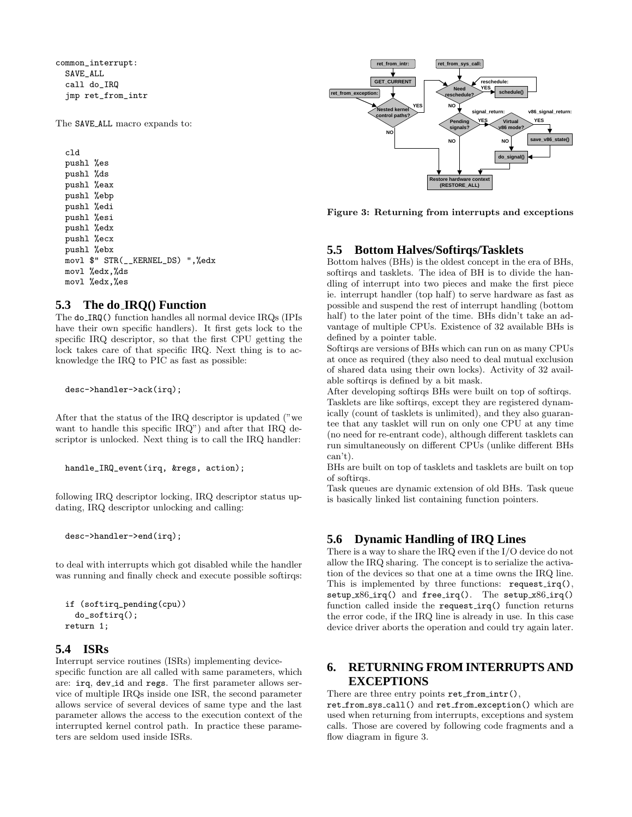common\_interrupt: SAVE\_ALL call do\_IRQ jmp ret\_from\_intr

The SAVE ALL macro expands to:

cld pushl %es pushl %ds pushl %eax pushl %ebp pushl %edi pushl %esi pushl %edx pushl %ecx pushl %ebx movl \$" STR(\_\_KERNEL\_DS) ",%edx movl %edx,%ds movl %edx,%es

#### **5.3 The do IRQ() Function**

The do IRQ() function handles all normal device IRQs (IPIs have their own specific handlers). It first gets lock to the specific IRQ descriptor, so that the first CPU getting the lock takes care of that specific IRQ. Next thing is to acknowledge the IRQ to PIC as fast as possible:

desc->handler->ack(irq);

After that the status of the IRQ descriptor is updated ("we want to handle this specific IRQ") and after that IRQ descriptor is unlocked. Next thing is to call the IRQ handler:

```
handle_IRQ_event(irq, &regs, action);
```
following IRQ descriptor locking, IRQ descriptor status updating, IRQ descriptor unlocking and calling:

desc->handler->end(irq);

to deal with interrupts which got disabled while the handler was running and finally check and execute possible softirqs:

```
if (softirq_pending(cpu))
  do_softirq();
return 1;
```
# **5.4 ISRs**

Interrupt service routines (ISRs) implementing devicespecific function are all called with same parameters, which are: irq, dev\_id and regs. The first parameter allows service of multiple IRQs inside one ISR, the second parameter allows service of several devices of same type and the last parameter allows the access to the execution context of the interrupted kernel control path. In practice these parameters are seldom used inside ISRs.



Figure 3: Returning from interrupts and exceptions

# **5.5 Bottom Halves/Softirqs/Tasklets**

Bottom halves (BHs) is the oldest concept in the era of BHs, softirqs and tasklets. The idea of BH is to divide the handling of interrupt into two pieces and make the first piece ie. interrupt handler (top half) to serve hardware as fast as possible and suspend the rest of interrupt handling (bottom half) to the later point of the time. BHs didn't take an advantage of multiple CPUs. Existence of 32 available BHs is defined by a pointer table.

Softirqs are versions of BHs which can run on as many CPUs at once as required (they also need to deal mutual exclusion of shared data using their own locks). Activity of 32 available softirqs is defined by a bit mask.

After developing softirqs BHs were built on top of softirqs. Tasklets are like softirqs, except they are registered dynamically (count of tasklets is unlimited), and they also guarantee that any tasklet will run on only one CPU at any time (no need for re-entrant code), although different tasklets can run simultaneously on different CPUs (unlike different BHs can't).

BHs are built on top of tasklets and tasklets are built on top of softirqs.

Task queues are dynamic extension of old BHs. Task queue is basically linked list containing function pointers.

# **5.6 Dynamic Handling of IRQ Lines**

There is a way to share the IRQ even if the I/O device do not allow the IRQ sharing. The concept is to serialize the activation of the devices so that one at a time owns the IRQ line. This is implemented by three functions: request\_irq(),  $setup_x86$ <sub>irq</sub>() and free<sub>irq</sub>(). The setup<sub>-x86</sub><sub>irq</sub>() function called inside the request irq() function returns the error code, if the IRQ line is already in use. In this case device driver aborts the operation and could try again later.

# **6. RETURNING FROM INTERRUPTS AND EXCEPTIONS**

There are three entry points ret\_from\_intr(),

ret from sys call() and ret from exception() which are used when returning from interrupts, exceptions and system calls. Those are covered by following code fragments and a flow diagram in figure 3.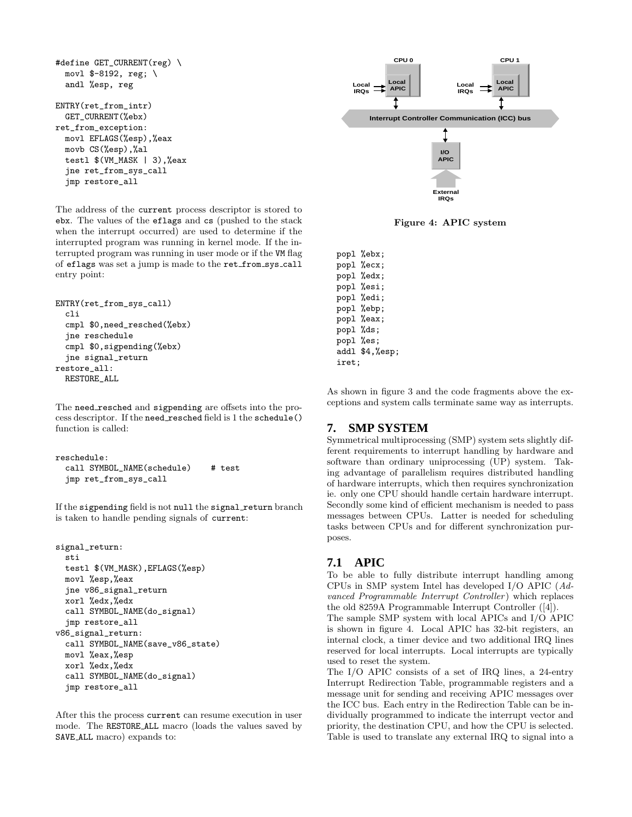```
#define GET_CURRENT(reg) \
 movl $-8192, reg; \
 andl %esp, reg
ENTRY(ret_from_intr)
 GET_CURRENT(%ebx)
ret_from_exception:
 movl EFLAGS(%esp),%eax
 movb CS(%esp),%al
 testl $(VM_MASK | 3),%eax
 jne ret_from_sys_call
 jmp restore_all
```
The address of the current process descriptor is stored to ebx. The values of the eflags and cs (pushed to the stack when the interrupt occurred) are used to determine if the interrupted program was running in kernel mode. If the interrupted program was running in user mode or if the VM flag of eflags was set a jump is made to the ret from sys call entry point:

```
ENTRY(ret_from_sys_call)
  cli
  cmpl $0,need_resched(%ebx)
  jne reschedule
  cmpl $0,sigpending(%ebx)
  jne signal_return
restore_all:
  RESTORE_ALL
```
The need\_resched and sigpending are offsets into the process descriptor. If the need\_resched field is 1 the schedule() function is called:

```
reschedule:
  call SYMBOL_NAME(schedule) # test
 jmp ret_from_sys_call
```
If the sigpending field is not null the signal return branch is taken to handle pending signals of current:

```
signal_return:
 sti
 testl $(VM_MASK),EFLAGS(%esp)
 movl %esp,%eax
 jne v86_signal_return
 xorl %edx,%edx
 call SYMBOL_NAME(do_signal)
  jmp restore_all
v86_signal_return:
 call SYMBOL_NAME(save_v86_state)
 movl %eax,%esp
 xorl %edx,%edx
 call SYMBOL_NAME(do_signal)
 jmp restore_all
```
After this the process current can resume execution in user mode. The RESTORE ALL macro (loads the values saved by SAVE ALL macro) expands to:



Figure 4: APIC system

popl %ebx; popl %ecx; popl %edx; popl %esi; popl %edi; popl %ebp; popl %eax; popl %ds; popl %es; addl \$4,%esp; iret;

As shown in figure 3 and the code fragments above the exceptions and system calls terminate same way as interrupts.

## **7. SMP SYSTEM**

Symmetrical multiprocessing (SMP) system sets slightly different requirements to interrupt handling by hardware and software than ordinary uniprocessing (UP) system. Taking advantage of parallelism requires distributed handling of hardware interrupts, which then requires synchronization ie. only one CPU should handle certain hardware interrupt. Secondly some kind of efficient mechanism is needed to pass messages between CPUs. Latter is needed for scheduling tasks between CPUs and for different synchronization purposes.

## **7.1 APIC**

To be able to fully distribute interrupt handling among CPUs in SMP system Intel has developed I/O APIC (Advanced Programmable Interrupt Controller) which replaces the old 8259A Programmable Interrupt Controller ([4]).

The sample SMP system with local APICs and I/O APIC is shown in figure 4. Local APIC has 32-bit registers, an internal clock, a timer device and two additional IRQ lines reserved for local interrupts. Local interrupts are typically used to reset the system.

The I/O APIC consists of a set of IRQ lines, a 24-entry Interrupt Redirection Table, programmable registers and a message unit for sending and receiving APIC messages over the ICC bus. Each entry in the Redirection Table can be individually programmed to indicate the interrupt vector and priority, the destination CPU, and how the CPU is selected. Table is used to translate any external IRQ to signal into a